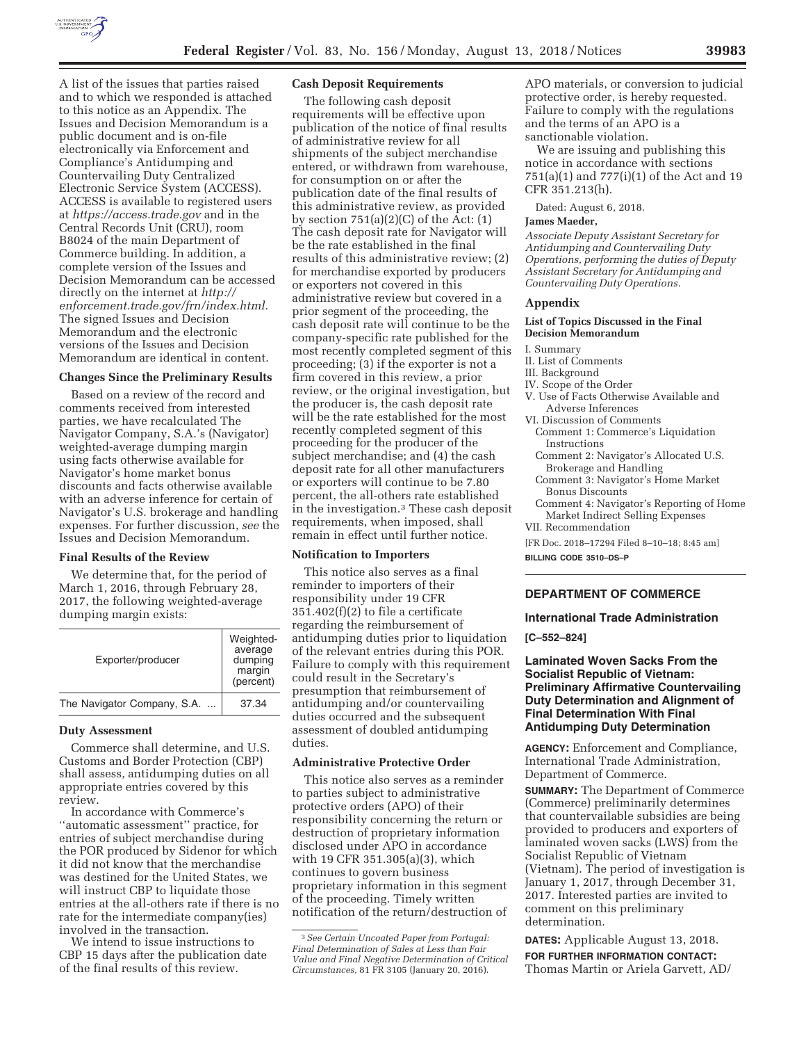

A list of the issues that parties raised and to which we responded is attached to this notice as an Appendix. The Issues and Decision Memorandum is a public document and is on-file electronically via Enforcement and Compliance's Antidumping and Countervailing Duty Centralized Electronic Service System (ACCESS). ACCESS is available to registered users at *https://access.trade.gov* and in the Central Records Unit (CRU), room B8024 of the main Department of Commerce building. In addition, a complete version of the Issues and Decision Memorandum can be accessed directly on the internet at *http:// enforcement.trade.gov/frn/index.html.*  The signed Issues and Decision Memorandum and the electronic versions of the Issues and Decision Memorandum are identical in content.

## **Changes Since the Preliminary Results**

Based on a review of the record and comments received from interested parties, we have recalculated The Navigator Company, S.A.'s (Navigator) weighted-average dumping margin using facts otherwise available for Navigator's home market bonus discounts and facts otherwise available with an adverse inference for certain of Navigator's U.S. brokerage and handling expenses. For further discussion, *see* the Issues and Decision Memorandum.

#### **Final Results of the Review**

We determine that, for the period of March 1, 2016, through February 28, 2017, the following weighted-average dumping margin exists:

| Exporter/producer           | Weighted-<br>average<br>dumping<br>margin<br>(percent) |
|-----------------------------|--------------------------------------------------------|
| The Navigator Company, S.A. | 37.34                                                  |

### **Duty Assessment**

Commerce shall determine, and U.S. Customs and Border Protection (CBP) shall assess, antidumping duties on all appropriate entries covered by this review.

In accordance with Commerce's ''automatic assessment'' practice, for entries of subject merchandise during the POR produced by Sidenor for which it did not know that the merchandise was destined for the United States, we will instruct CBP to liquidate those entries at the all-others rate if there is no rate for the intermediate company(ies) involved in the transaction.

We intend to issue instructions to CBP 15 days after the publication date of the final results of this review.

## **Cash Deposit Requirements**

The following cash deposit requirements will be effective upon publication of the notice of final results of administrative review for all shipments of the subject merchandise entered, or withdrawn from warehouse, for consumption on or after the publication date of the final results of this administrative review, as provided by section  $751(a)(2)(C)$  of the Act:  $(1)$ The cash deposit rate for Navigator will be the rate established in the final results of this administrative review; (2) for merchandise exported by producers or exporters not covered in this administrative review but covered in a prior segment of the proceeding, the cash deposit rate will continue to be the company-specific rate published for the most recently completed segment of this proceeding; (3) if the exporter is not a firm covered in this review, a prior review, or the original investigation, but the producer is, the cash deposit rate will be the rate established for the most recently completed segment of this proceeding for the producer of the subject merchandise; and (4) the cash deposit rate for all other manufacturers or exporters will continue to be 7.80 percent, the all-others rate established in the investigation.3 These cash deposit requirements, when imposed, shall remain in effect until further notice.

### **Notification to Importers**

This notice also serves as a final reminder to importers of their responsibility under 19 CFR 351.402(f)(2) to file a certificate regarding the reimbursement of antidumping duties prior to liquidation of the relevant entries during this POR. Failure to comply with this requirement could result in the Secretary's presumption that reimbursement of antidumping and/or countervailing duties occurred and the subsequent assessment of doubled antidumping duties.

# **Administrative Protective Order**

This notice also serves as a reminder to parties subject to administrative protective orders (APO) of their responsibility concerning the return or destruction of proprietary information disclosed under APO in accordance with 19 CFR 351.305(a)(3), which continues to govern business proprietary information in this segment of the proceeding. Timely written notification of the return/destruction of

APO materials, or conversion to judicial protective order, is hereby requested. Failure to comply with the regulations and the terms of an APO is a sanctionable violation.

We are issuing and publishing this notice in accordance with sections 751(a)(1) and 777(i)(1) of the Act and 19 CFR 351.213(h).

Dated: August 6, 2018.

### **James Maeder,**

*Associate Deputy Assistant Secretary for Antidumping and Countervailing Duty Operations, performing the duties of Deputy Assistant Secretary for Antidumping and Countervailing Duty Operations.* 

# **Appendix**

#### **List of Topics Discussed in the Final Decision Memorandum**

- I. Summary
- II. List of Comments
- III. Background
- IV. Scope of the Order
- V. Use of Facts Otherwise Available and Adverse Inferences
- VI. Discussion of Comments
- Comment 1: Commerce's Liquidation Instructions
- Comment 2: Navigator's Allocated U.S. Brokerage and Handling
- Comment 3: Navigator's Home Market Bonus Discounts
- Comment 4: Navigator's Reporting of Home Market Indirect Selling Expenses VII. Recommendation

[FR Doc. 2018–17294 Filed 8–10–18; 8:45 am]

**BILLING CODE 3510–DS–P** 

# **DEPARTMENT OF COMMERCE**

### **International Trade Administration**

**[C–552–824]** 

# **Laminated Woven Sacks From the Socialist Republic of Vietnam: Preliminary Affirmative Countervailing Duty Determination and Alignment of Final Determination With Final Antidumping Duty Determination**

**AGENCY:** Enforcement and Compliance, International Trade Administration, Department of Commerce.

**SUMMARY:** The Department of Commerce (Commerce) preliminarily determines that countervailable subsidies are being provided to producers and exporters of laminated woven sacks (LWS) from the Socialist Republic of Vietnam (Vietnam). The period of investigation is January 1, 2017, through December 31, 2017. Interested parties are invited to comment on this preliminary determination.

**DATES:** Applicable August 13, 2018. **FOR FURTHER INFORMATION CONTACT:**  Thomas Martin or Ariela Garvett, AD/

<sup>3</sup>*See Certain Uncoated Paper from Portugal: Final Determination of Sales at Less than Fair Value and Final Negative Determination of Critical Circumstances,* 81 FR 3105 (January 20, 2016).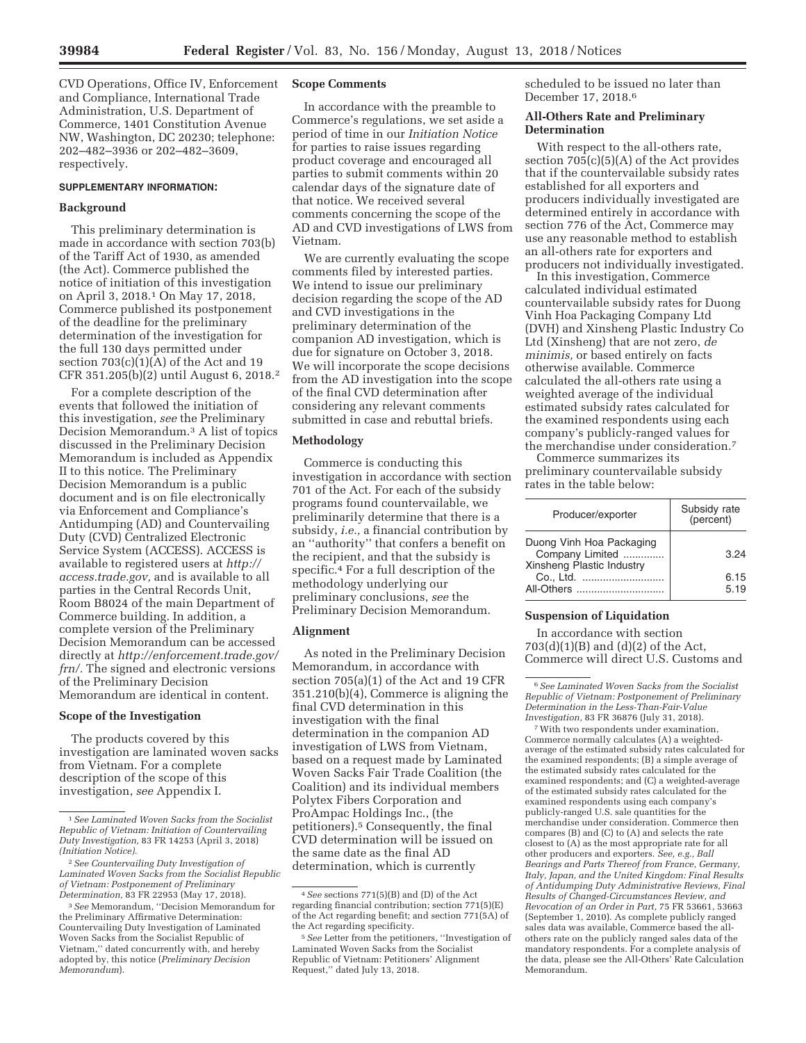CVD Operations, Office IV, Enforcement and Compliance, International Trade Administration, U.S. Department of Commerce, 1401 Constitution Avenue NW, Washington, DC 20230; telephone: 202–482–3936 or 202–482–3609, respectively.

### **SUPPLEMENTARY INFORMATION:**

## **Background**

This preliminary determination is made in accordance with section 703(b) of the Tariff Act of 1930, as amended (the Act). Commerce published the notice of initiation of this investigation on April 3, 2018.1 On May 17, 2018, Commerce published its postponement of the deadline for the preliminary determination of the investigation for the full 130 days permitted under section  $703(c)(1)(A)$  of the Act and 19 CFR 351.205(b)(2) until August 6, 2018.2

For a complete description of the events that followed the initiation of this investigation, *see* the Preliminary Decision Memorandum.3 A list of topics discussed in the Preliminary Decision Memorandum is included as Appendix II to this notice. The Preliminary Decision Memorandum is a public document and is on file electronically via Enforcement and Compliance's Antidumping (AD) and Countervailing Duty (CVD) Centralized Electronic Service System (ACCESS). ACCESS is available to registered users at *http:// access.trade.gov,* and is available to all parties in the Central Records Unit, Room B8024 of the main Department of Commerce building. In addition, a complete version of the Preliminary Decision Memorandum can be accessed directly at *http://enforcement.trade.gov/ frn/.* The signed and electronic versions of the Preliminary Decision Memorandum are identical in content.

### **Scope of the Investigation**

The products covered by this investigation are laminated woven sacks from Vietnam. For a complete description of the scope of this investigation, *see* Appendix I.

### **Scope Comments**

In accordance with the preamble to Commerce's regulations, we set aside a period of time in our *Initiation Notice*  for parties to raise issues regarding product coverage and encouraged all parties to submit comments within 20 calendar days of the signature date of that notice. We received several comments concerning the scope of the AD and CVD investigations of LWS from Vietnam.

We are currently evaluating the scope comments filed by interested parties. We intend to issue our preliminary decision regarding the scope of the AD and CVD investigations in the preliminary determination of the companion AD investigation, which is due for signature on October 3, 2018. We will incorporate the scope decisions from the AD investigation into the scope of the final CVD determination after considering any relevant comments submitted in case and rebuttal briefs.

# **Methodology**

Commerce is conducting this investigation in accordance with section 701 of the Act. For each of the subsidy programs found countervailable, we preliminarily determine that there is a subsidy, *i.e.,* a financial contribution by an ''authority'' that confers a benefit on the recipient, and that the subsidy is specific.4 For a full description of the methodology underlying our preliminary conclusions, *see* the Preliminary Decision Memorandum.

### **Alignment**

As noted in the Preliminary Decision Memorandum, in accordance with section 705(a)(1) of the Act and 19 CFR 351.210(b)(4), Commerce is aligning the final CVD determination in this investigation with the final determination in the companion AD investigation of LWS from Vietnam, based on a request made by Laminated Woven Sacks Fair Trade Coalition (the Coalition) and its individual members Polytex Fibers Corporation and ProAmpac Holdings Inc., (the petitioners).5 Consequently, the final CVD determination will be issued on the same date as the final AD determination, which is currently

scheduled to be issued no later than December 17, 2018.6

### **All-Others Rate and Preliminary Determination**

With respect to the all-others rate, section 705(c)(5)(A) of the Act provides that if the countervailable subsidy rates established for all exporters and producers individually investigated are determined entirely in accordance with section 776 of the Act, Commerce may use any reasonable method to establish an all-others rate for exporters and producers not individually investigated.

In this investigation, Commerce calculated individual estimated countervailable subsidy rates for Duong Vinh Hoa Packaging Company Ltd (DVH) and Xinsheng Plastic Industry Co Ltd (Xinsheng) that are not zero, *de minimis,* or based entirely on facts otherwise available. Commerce calculated the all-others rate using a weighted average of the individual estimated subsidy rates calculated for the examined respondents using each company's publicly-ranged values for the merchandise under consideration.7

Commerce summarizes its preliminary countervailable subsidy rates in the table below:

| Producer/exporter                                                        | Subsidy rate<br>(percent) |
|--------------------------------------------------------------------------|---------------------------|
| Duong Vinh Hoa Packaging<br>Company Limited<br>Xinsheng Plastic Industry | 3.24                      |
| Co., Ltd.                                                                | 6.15                      |
| All-Others                                                               | 5.19                      |

### **Suspension of Liquidation**

In accordance with section 703(d)(1)(B) and (d)(2) of the Act, Commerce will direct U.S. Customs and

6*See Laminated Woven Sacks from the Socialist Republic of Vietnam: Postponement of Preliminary Determination in the Less-Than-Fair-Value Investigation,* 83 FR 36876 (July 31, 2018).

7With two respondents under examination, Commerce normally calculates (A) a weightedaverage of the estimated subsidy rates calculated for the examined respondents; (B) a simple average of the estimated subsidy rates calculated for the examined respondents; and (C) a weighted-average of the estimated subsidy rates calculated for the examined respondents using each company's publicly-ranged U.S. sale quantities for the merchandise under consideration. Commerce then compares (B) and (C) to (A) and selects the rate closest to (A) as the most appropriate rate for all other producers and exporters. *See, e.g., Ball Bearings and Parts Thereof from France, Germany, Italy, Japan, and the United Kingdom: Final Results of Antidumping Duty Administrative Reviews, Final Results of Changed-Circumstances Review, and Revocation of an Order in Part,* 75 FR 53661, 53663 (September 1, 2010). As complete publicly ranged sales data was available, Commerce based the allothers rate on the publicly ranged sales data of the mandatory respondents. For a complete analysis of the data, please see the All-Others' Rate Calculation Memorandum.

<sup>1</sup>*See Laminated Woven Sacks from the Socialist Republic of Vietnam: Initiation of Countervailing Duty Investigation,* 83 FR 14253 (April 3, 2018) *(Initiation Notice).* 

<sup>2</sup>*See Countervailing Duty Investigation of Laminated Woven Sacks from the Socialist Republic of Vietnam: Postponement of Preliminary Determination,* 83 FR 22953 (May 17, 2018).

<sup>3</sup>*See* Memorandum, ''Decision Memorandum for the Preliminary Affirmative Determination: Countervailing Duty Investigation of Laminated Woven Sacks from the Socialist Republic of Vietnam,'' dated concurrently with, and hereby adopted by, this notice (*Preliminary Decision Memorandum*).

<sup>4</sup>*See* sections 771(5)(B) and (D) of the Act regarding financial contribution; section 771(5)(E) of the Act regarding benefit; and section 771(5A) of the Act regarding specificity.

<sup>5</sup>*See* Letter from the petitioners, ''Investigation of Laminated Woven Sacks from the Socialist Republic of Vietnam: Petitioners' Alignment Request,'' dated July 13, 2018.